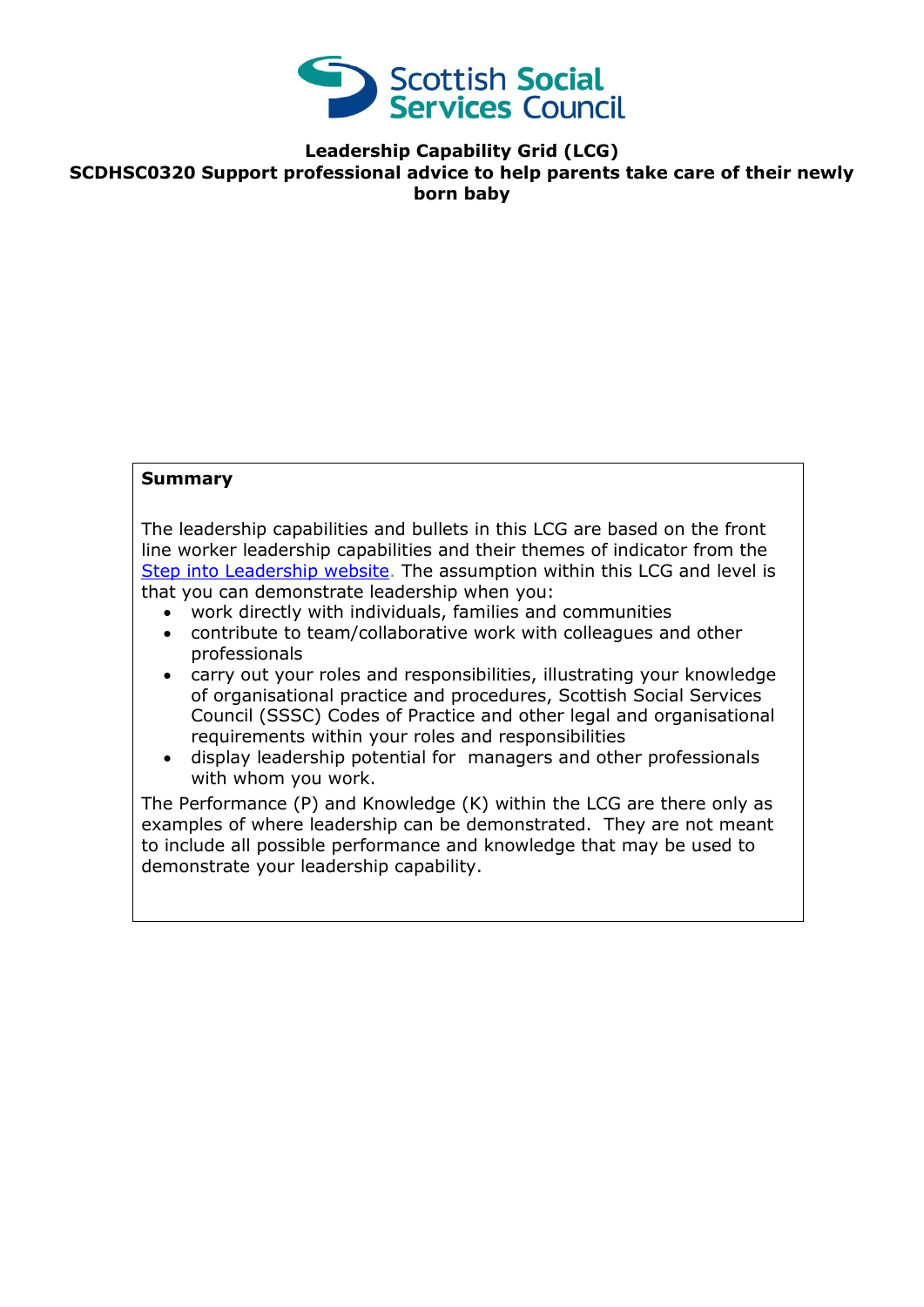

**Leadership Capability Grid (LCG) SCDHSC0320 Support professional advice to help parents take care of their newly born baby**

## **Summary**

The leadership capabilities and bullets in this LCG are based on the front line worker leadership capabilities and their themes of indicator from the [Step into Leadership website.](http://www.stepintoleadership.info/) The assumption within this LCG and level is that you can demonstrate leadership when you:

- work directly with individuals, families and communities
- contribute to team/collaborative work with colleagues and other professionals
- carry out your roles and responsibilities, illustrating your knowledge of organisational practice and procedures, Scottish Social Services Council (SSSC) Codes of Practice and other legal and organisational requirements within your roles and responsibilities
- display leadership potential for managers and other professionals with whom you work.

The Performance (P) and Knowledge (K) within the LCG are there only as examples of where leadership can be demonstrated. They are not meant to include all possible performance and knowledge that may be used to demonstrate your leadership capability.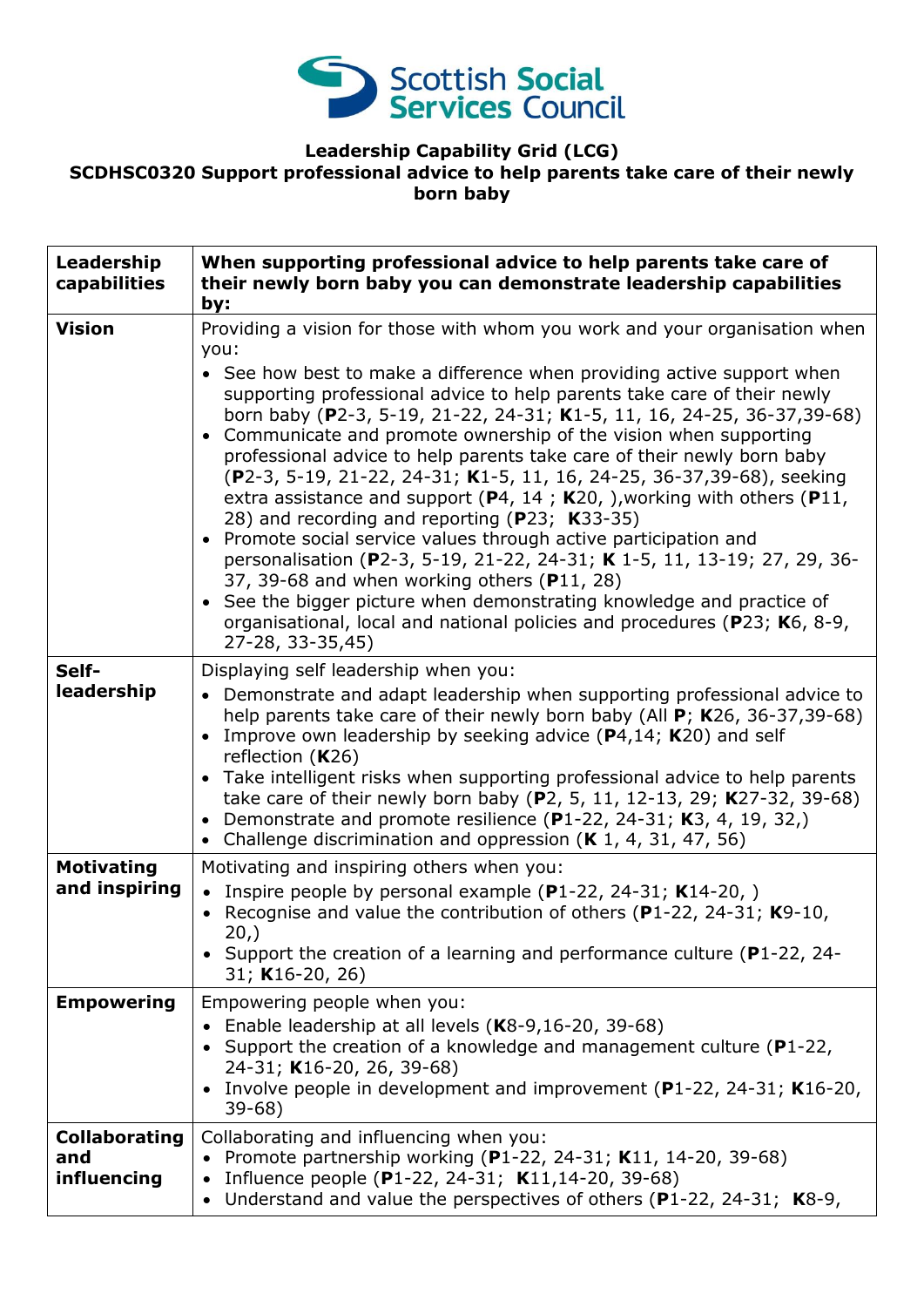

## **Leadership Capability Grid (LCG) SCDHSC0320 Support professional advice to help parents take care of their newly born baby**

| Leadership<br>capabilities                 | When supporting professional advice to help parents take care of<br>their newly born baby you can demonstrate leadership capabilities<br>by:                                                                                                                                                                                                                                                                                                                                                                                                                                                                                                                                                                                                                                                                                                                                                                                                                                                                                                                 |
|--------------------------------------------|--------------------------------------------------------------------------------------------------------------------------------------------------------------------------------------------------------------------------------------------------------------------------------------------------------------------------------------------------------------------------------------------------------------------------------------------------------------------------------------------------------------------------------------------------------------------------------------------------------------------------------------------------------------------------------------------------------------------------------------------------------------------------------------------------------------------------------------------------------------------------------------------------------------------------------------------------------------------------------------------------------------------------------------------------------------|
| <b>Vision</b>                              | Providing a vision for those with whom you work and your organisation when<br>you:<br>• See how best to make a difference when providing active support when<br>supporting professional advice to help parents take care of their newly<br>born baby (P2-3, 5-19, 21-22, 24-31; K1-5, 11, 16, 24-25, 36-37, 39-68)<br>• Communicate and promote ownership of the vision when supporting<br>professional advice to help parents take care of their newly born baby<br>(P2-3, 5-19, 21-22, 24-31; K1-5, 11, 16, 24-25, 36-37, 39-68), seeking<br>extra assistance and support ( $P_4$ , 14; K20, ), working with others ( $P_{11}$ ,<br>28) and recording and reporting (P23; K33-35)<br>• Promote social service values through active participation and<br>personalisation (P2-3, 5-19, 21-22, 24-31; K 1-5, 11, 13-19; 27, 29, 36-<br>37, 39-68 and when working others (P11, 28)<br>• See the bigger picture when demonstrating knowledge and practice of<br>organisational, local and national policies and procedures (P23; K6, 8-9,<br>27-28, 33-35,45) |
| Self-<br>leadership                        | Displaying self leadership when you:<br>• Demonstrate and adapt leadership when supporting professional advice to<br>help parents take care of their newly born baby (All $P$ ; K26, 36-37,39-68)<br>Improve own leadership by seeking advice $(P4, 14; K20)$ and self<br>reflection $(K26)$<br>• Take intelligent risks when supporting professional advice to help parents<br>take care of their newly born baby (P2, 5, 11, 12-13, 29; K27-32, 39-68)<br>• Demonstrate and promote resilience (P1-22, 24-31; K3, 4, 19, 32,)<br>• Challenge discrimination and oppression $(K 1, 4, 31, 47, 56)$                                                                                                                                                                                                                                                                                                                                                                                                                                                          |
| <b>Motivating</b><br>and inspiring         | Motivating and inspiring others when you:<br>Inspire people by personal example $(P1-22, 24-31; K14-20, )$<br>$\bullet$<br>Recognise and value the contribution of others ( $P1-22$ , 24-31; K9-10,<br>$20,$ )<br>• Support the creation of a learning and performance culture (P1-22, 24-<br>31; K16-20, 26)                                                                                                                                                                                                                                                                                                                                                                                                                                                                                                                                                                                                                                                                                                                                                |
| <b>Empowering</b>                          | Empowering people when you:<br>Enable leadership at all levels $(K8-9, 16-20, 39-68)$<br>$\bullet$<br>• Support the creation of a knowledge and management culture ( $P1-22$ ,<br>24-31; K16-20, 26, 39-68)<br>• Involve people in development and improvement (P1-22, 24-31; K16-20,<br>$39-68$                                                                                                                                                                                                                                                                                                                                                                                                                                                                                                                                                                                                                                                                                                                                                             |
| <b>Collaborating</b><br>and<br>influencing | Collaborating and influencing when you:<br>Promote partnership working (P1-22, 24-31; K11, 14-20, 39-68)<br>Influence people (P1-22, 24-31; K11, 14-20, 39-68)<br>$\bullet$<br>Understand and value the perspectives of others $(P1-22, 24-31; K8-9,$<br>$\bullet$                                                                                                                                                                                                                                                                                                                                                                                                                                                                                                                                                                                                                                                                                                                                                                                           |